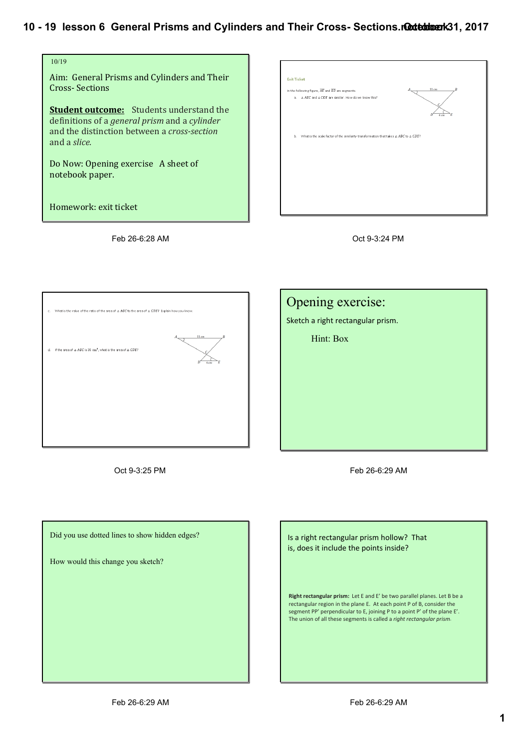

Feb 26-6:28 AM







Oct 9-3:25 PM Feb 26-6:29 AM

Did you use dotted lines to show hidden edges?

How would this change you sketch?

Is a right rectangular prism hollow? That is, does it include the points inside?

Right rectangular prism: Let E and E' be two parallel planes. Let B be a rectangular region in the plane E. At each point P of B, consider the segment PP' perpendicular to E, joining P to a point P' of the plane E'. The union of all these segments is called a *right rectangular prism*.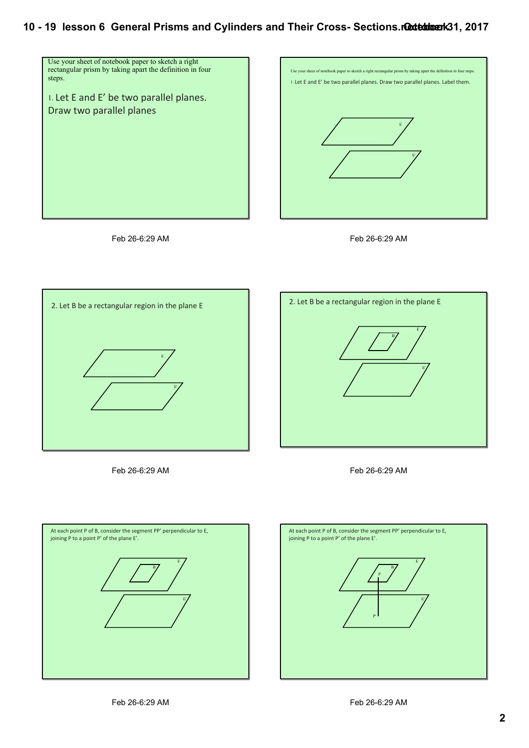









Feb 26-6:29 AM





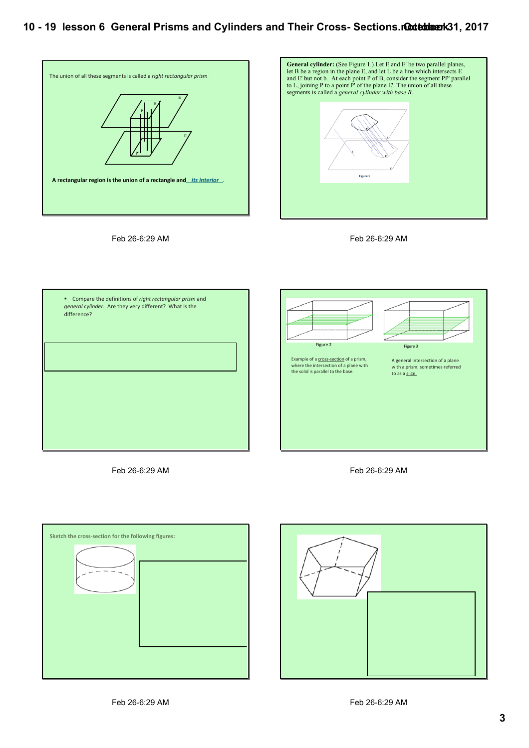

Feb 26-6:29 AM











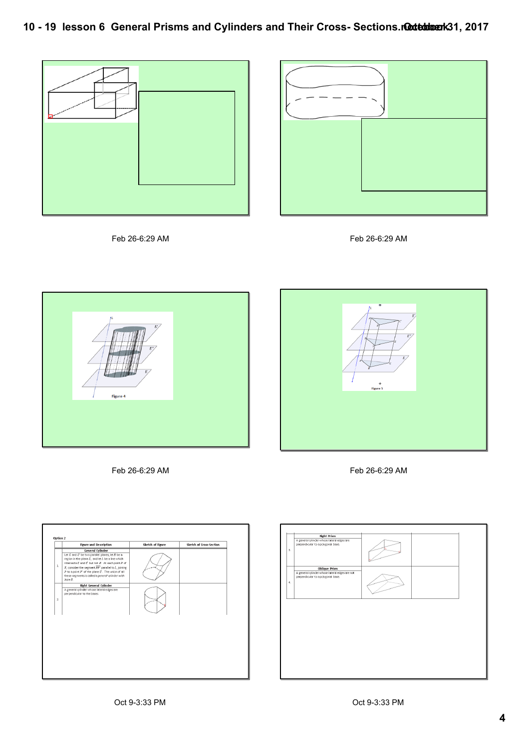









Feb 26-6:29 AM Feb 26-6:29 AM





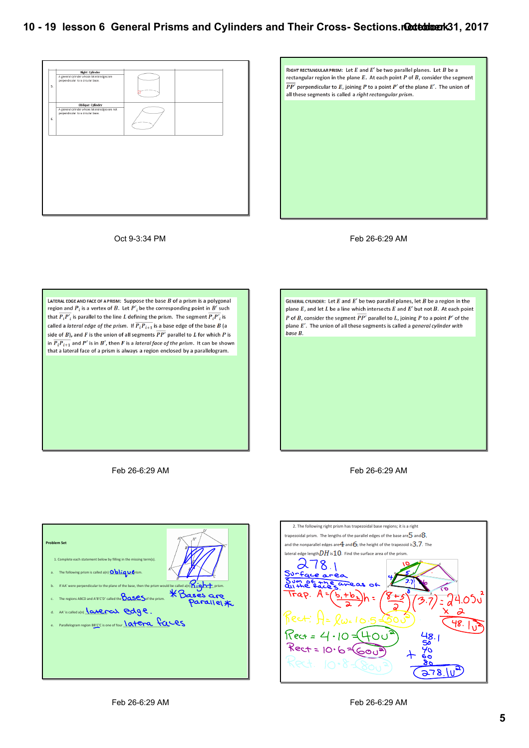



Oct 9-3:34 PM Feb 26-6:29 AM

LATERAL EDGE AND FACE OF A PRISM: Suppose the base  $\overline{B}$  of a prism is a polygonal region and  $P_i$  is a vertex of  $B$ . Let  $P'_i$  be the corresponding point in  $B'$  such region and  $P_i$  is a vertex of  $B$ . Let  $P'_i$  be the corresponding point in  $B'$  such that  $\overline{P_iP_i'}$  is parallel to the line L defining the prism. The segment  $\overline{P_iP_i'}$  is called a *lateral edge of the prism.* If  $\overline{P_i P_{i+1}}$  is a base edge of the base B (a side of B), and F is the union of all segments  $\overline{PP'}$  parallel to L for which P is in  $\overline{P_iP_{i+1}}$  and P' is in B', then F is a lateral face of the prism. It can be shown that a lateral face of a prism is always a region enclosed by a parallelogram.

GENERAL CYLINDER: Let  $E$  and  $E'$  be two parallel planes, let  $B$  be a region in the plane  $E$ , and let  $L$  be a line which intersects  $E$  and  $E'$  but not  $B$ . At each point P of B, consider the segment  $\overline{PP'}$  parallel to L, joining P to a point P' of the plane  $E'$ . The union of all these segments is called a general cylinder with  $h$ ase  $R$ 

Feb 26-6:29 AM Feb 26-6:29 AM

| <b>Problem Set</b>                                                                                                                                                                                                                                                                                                                                                  | H'                                 |
|---------------------------------------------------------------------------------------------------------------------------------------------------------------------------------------------------------------------------------------------------------------------------------------------------------------------------------------------------------------------|------------------------------------|
| 1. Complete each statement below by filling in the missing term(s).                                                                                                                                                                                                                                                                                                 |                                    |
| The following prism is called $a(n)$ $\overline{O}$ $\overline{O}$ $\overline{O}$ $\overline{O}$ $\overline{O}$ $\overline{O}$ $\overline{O}$ $\overline{O}$ $\overline{O}$ $\overline{O}$ $\overline{O}$ $\overline{O}$ $\overline{O}$ $\overline{O}$ $\overline{O}$ $\overline{O}$ $\overline{O}$ $\overline{O}$ $\overline{O}$ $\overline{O}$ $\overline{$<br>a. |                                    |
| The following prism is called a <sub>lty</sub><br>If AA' were perpendicular to the plane of the base, then the prism would be called a[n] <b>K</b> Bases are<br>b.                                                                                                                                                                                                  |                                    |
| c.                                                                                                                                                                                                                                                                                                                                                                  | $\mathsf{Parallel} \mathcal{\ast}$ |
| AA' is called a(n) lateral edge.<br>d.                                                                                                                                                                                                                                                                                                                              |                                    |
| Parallelogram region BB'CC is one of four <i>Latera</i> faces<br>e.                                                                                                                                                                                                                                                                                                 |                                    |
|                                                                                                                                                                                                                                                                                                                                                                     |                                    |
|                                                                                                                                                                                                                                                                                                                                                                     |                                    |
|                                                                                                                                                                                                                                                                                                                                                                     |                                    |

2. The following right prism has trapezoidal base regions; it is a right trapezoidal prism. The lengths of the parallel edges of the base are  $5$  and  $8$ , and the nonparallel edges are  $\overline{4}$  and  $\overline{6}$ ; the height of the trapezoid is  $3.7$ . The lateral edge length $DH$  is  $10$ . Find the surface area of the pris 278.1 Surface aime ۳. 4.050  $\overline{\mathbf{a}}$ 48. Jú Rect =  $378.10^3$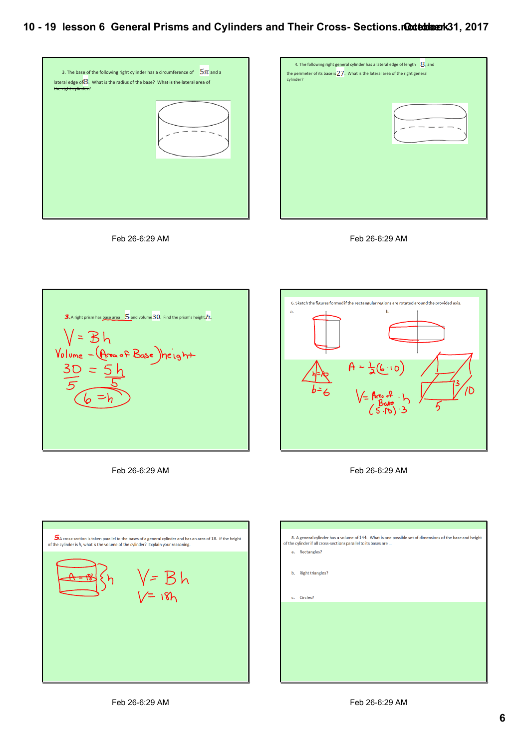















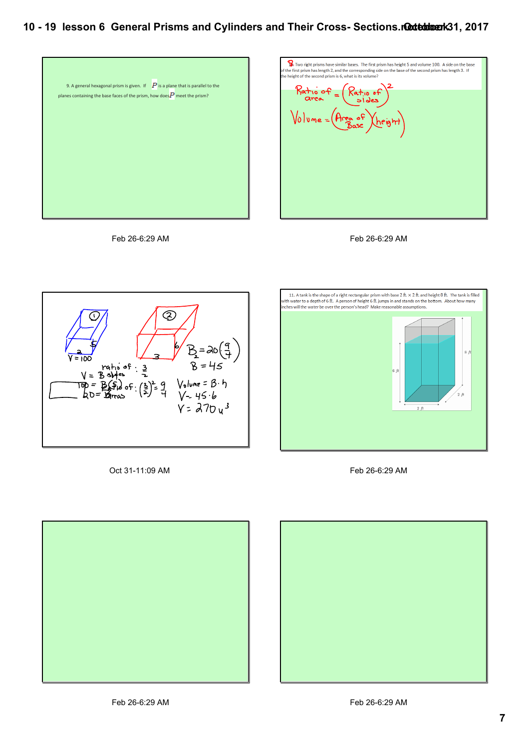



Feb 26-6:29 AM



Oct 31-11:09 AM Feb 26-6:29 AM